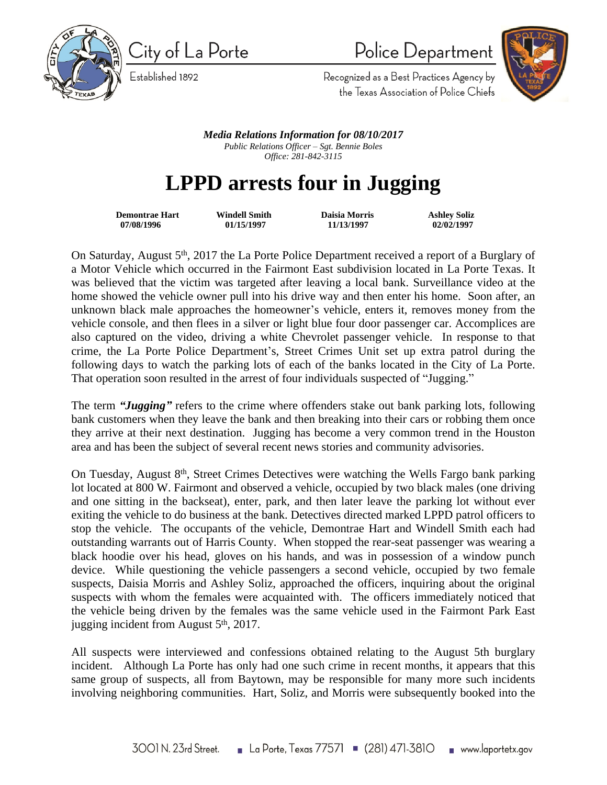

City of La Porte Established 1892

Police Department



Recognized as a Best Practices Agency by the Texas Association of Police Chiefs

*Media Relations Information for 08/10/2017 Public Relations Officer – Sgt. Bennie Boles Office: 281-842-3115*

## **LPPD arrests four in Jugging**

 **Demontrae Hart Windell Smith Daisia Morris Ashley Soliz 07/08/1996 01/15/1997 11/13/1997 02/02/1997**

On Saturday, August 5<sup>th</sup>, 2017 the La Porte Police Department received a report of a Burglary of a Motor Vehicle which occurred in the Fairmont East subdivision located in La Porte Texas. It was believed that the victim was targeted after leaving a local bank. Surveillance video at the home showed the vehicle owner pull into his drive way and then enter his home. Soon after, an unknown black male approaches the homeowner's vehicle, enters it, removes money from the vehicle console, and then flees in a silver or light blue four door passenger car. Accomplices are also captured on the video, driving a white Chevrolet passenger vehicle. In response to that crime, the La Porte Police Department's, Street Crimes Unit set up extra patrol during the following days to watch the parking lots of each of the banks located in the City of La Porte. That operation soon resulted in the arrest of four individuals suspected of "Jugging."

The term *"Jugging"* refers to the crime where offenders stake out bank parking lots, following bank customers when they leave the bank and then breaking into their cars or robbing them once they arrive at their next destination. Jugging has become a very common trend in the Houston area and has been the subject of several recent news stories and community advisories.

On Tuesday, August 8<sup>th</sup>, Street Crimes Detectives were watching the Wells Fargo bank parking lot located at 800 W. Fairmont and observed a vehicle, occupied by two black males (one driving and one sitting in the backseat), enter, park, and then later leave the parking lot without ever exiting the vehicle to do business at the bank. Detectives directed marked LPPD patrol officers to stop the vehicle. The occupants of the vehicle, Demontrae Hart and Windell Smith each had outstanding warrants out of Harris County. When stopped the rear-seat passenger was wearing a black hoodie over his head, gloves on his hands, and was in possession of a window punch device. While questioning the vehicle passengers a second vehicle, occupied by two female suspects, Daisia Morris and Ashley Soliz, approached the officers, inquiring about the original suspects with whom the females were acquainted with. The officers immediately noticed that the vehicle being driven by the females was the same vehicle used in the Fairmont Park East jugging incident from August  $5<sup>th</sup>$ , 2017.

All suspects were interviewed and confessions obtained relating to the August 5th burglary incident. Although La Porte has only had one such crime in recent months, it appears that this same group of suspects, all from Baytown, may be responsible for many more such incidents involving neighboring communities. Hart, Soliz, and Morris were subsequently booked into the